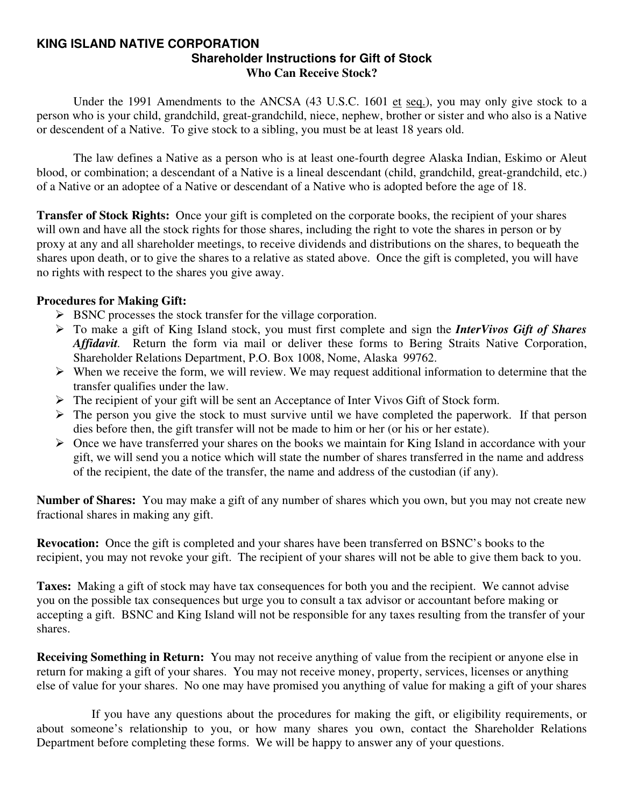#### **KING ISLAND NATIVE CORPORATION Shareholder Instructions for Gift of Stock Who Can Receive Stock?**

Under the 1991 Amendments to the ANCSA (43 U.S.C. 1601 et seq.), you may only give stock to a person who is your child, grandchild, great-grandchild, niece, nephew, brother or sister and who also is a Native or descendent of a Native. To give stock to a sibling, you must be at least 18 years old.

 The law defines a Native as a person who is at least one-fourth degree Alaska Indian, Eskimo or Aleut blood, or combination; a descendant of a Native is a lineal descendant (child, grandchild, great-grandchild, etc.) of a Native or an adoptee of a Native or descendant of a Native who is adopted before the age of 18.

**Transfer of Stock Rights:** Once your gift is completed on the corporate books, the recipient of your shares will own and have all the stock rights for those shares, including the right to vote the shares in person or by proxy at any and all shareholder meetings, to receive dividends and distributions on the shares, to bequeath the shares upon death, or to give the shares to a relative as stated above. Once the gift is completed, you will have no rights with respect to the shares you give away.

### **Procedures for Making Gift:**

- $\triangleright$  BSNC processes the stock transfer for the village corporation.
- ¾ To make a gift of King Island stock, you must first complete and sign the *InterVivos Gift of Shares Affidavit.* Return the form via mail or deliver these forms to Bering Straits Native Corporation, Shareholder Relations Department, P.O. Box 1008, Nome, Alaska 99762.
- $\triangleright$  When we receive the form, we will review. We may request additional information to determine that the transfer qualifies under the law.
- ¾ The recipient of your gift will be sent an Acceptance of Inter Vivos Gift of Stock form.
- $\triangleright$  The person you give the stock to must survive until we have completed the paperwork. If that person dies before then, the gift transfer will not be made to him or her (or his or her estate).
- $\triangleright$  Once we have transferred your shares on the books we maintain for King Island in accordance with your gift, we will send you a notice which will state the number of shares transferred in the name and address of the recipient, the date of the transfer, the name and address of the custodian (if any).

**Number of Shares:** You may make a gift of any number of shares which you own, but you may not create new fractional shares in making any gift.

**Revocation:** Once the gift is completed and your shares have been transferred on BSNC's books to the recipient, you may not revoke your gift. The recipient of your shares will not be able to give them back to you.

**Taxes:** Making a gift of stock may have tax consequences for both you and the recipient. We cannot advise you on the possible tax consequences but urge you to consult a tax advisor or accountant before making or accepting a gift. BSNC and King Island will not be responsible for any taxes resulting from the transfer of your shares.

**Receiving Something in Return:** You may not receive anything of value from the recipient or anyone else in return for making a gift of your shares. You may not receive money, property, services, licenses or anything else of value for your shares. No one may have promised you anything of value for making a gift of your shares

 If you have any questions about the procedures for making the gift, or eligibility requirements, or about someone's relationship to you, or how many shares you own, contact the Shareholder Relations Department before completing these forms. We will be happy to answer any of your questions.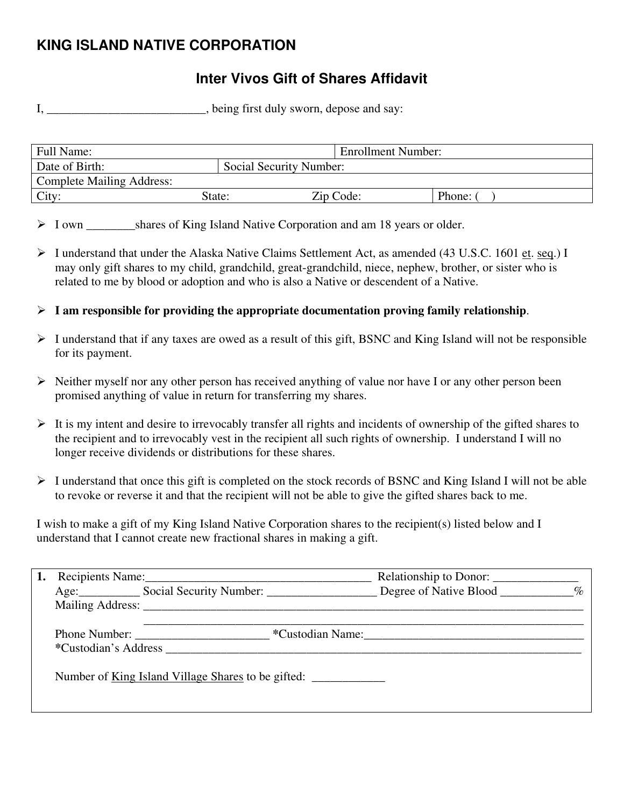# **KING ISLAND NATIVE CORPORATION**

# **Inter Vivos Gift of Shares Affidavit**

I, \_\_\_\_\_\_\_\_\_\_\_\_\_\_\_\_\_\_\_\_\_\_, being first duly sworn, depose and say:

| <b>Full Name:</b>                |                         | <b>Enrollment Number:</b> |        |
|----------------------------------|-------------------------|---------------------------|--------|
| Date of Birth:                   | Social Security Number: |                           |        |
| <b>Complete Mailing Address:</b> |                         |                           |        |
| City:                            | State:                  | Zip Code:                 | Phone: |

ightharpoonup Shares of King Island Native Corporation and am 18 years or older.

- ¾ I understand that under the Alaska Native Claims Settlement Act, as amended (43 U.S.C. 1601 et. seq.) I may only gift shares to my child, grandchild, great-grandchild, niece, nephew, brother, or sister who is related to me by blood or adoption and who is also a Native or descendent of a Native.
- ¾ **I am responsible for providing the appropriate documentation proving family relationship**.
- $\triangleright$  I understand that if any taxes are owed as a result of this gift, BSNC and King Island will not be responsible for its payment.
- $\triangleright$  Neither myself nor any other person has received anything of value nor have I or any other person been promised anything of value in return for transferring my shares.
- $\triangleright$  It is my intent and desire to irrevocably transfer all rights and incidents of ownership of the gifted shares to the recipient and to irrevocably vest in the recipient all such rights of ownership. I understand I will no longer receive dividends or distributions for these shares.
- $\triangleright$  I understand that once this gift is completed on the stock records of BSNC and King Island I will not be able to revoke or reverse it and that the recipient will not be able to give the gifted shares back to me.

I wish to make a gift of my King Island Native Corporation shares to the recipient(s) listed below and I understand that I cannot create new fractional shares in making a gift.

|                      |                                                                                                                                                                                                                                | Relationship to Donor: |  |
|----------------------|--------------------------------------------------------------------------------------------------------------------------------------------------------------------------------------------------------------------------------|------------------------|--|
|                      | Age: Social Security Number: Degree of Native Blood ________ %                                                                                                                                                                 |                        |  |
|                      | Mailing Address: National Address: National Address: National Address: National Address: National Address: National Address: National Address: National Address: National Address: National Address: National Address: Nationa |                        |  |
| *Custodian's Address |                                                                                                                                                                                                                                | *Custodian Name:       |  |
|                      | Number of <u>King Island Village Shares</u> to be gifted:                                                                                                                                                                      |                        |  |
|                      |                                                                                                                                                                                                                                |                        |  |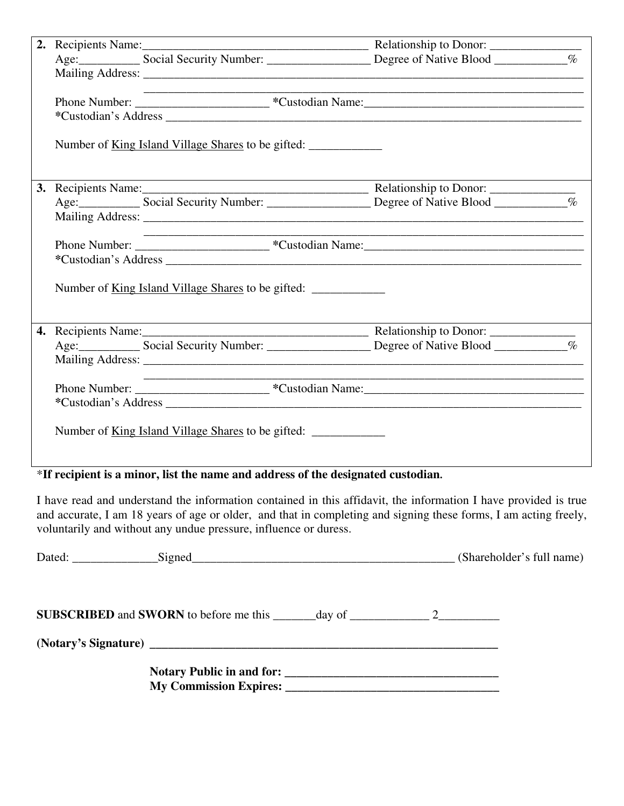|  | the control of the control of the control of the control of the control of |  |
|--|----------------------------------------------------------------------------|--|
|  |                                                                            |  |
|  |                                                                            |  |
|  |                                                                            |  |
|  |                                                                            |  |
|  |                                                                            |  |
|  |                                                                            |  |
|  |                                                                            |  |
|  |                                                                            |  |
|  |                                                                            |  |
|  | Number of <u>King Island Village Shares</u> to be gifted:                  |  |
|  |                                                                            |  |
|  |                                                                            |  |
|  |                                                                            |  |
|  |                                                                            |  |
|  |                                                                            |  |
|  |                                                                            |  |
|  | Number of <u>King Island Village Shares</u> to be gifted:                  |  |

\***If recipient is a minor, list the name and address of the designated custodian.** 

I have read and understand the information contained in this affidavit, the information I have provided is true and accurate, I am 18 years of age or older, and that in completing and signing these forms, I am acting freely, voluntarily and without any undue pressure, influence or duress.

| Dated: Signed Signed Signed Signed Signed Signed Signed Signed Signed Signed Signed Signed Signed Signed Signed Signed Signed Signed Signed Signed Signed Signed Signed Signed Signed Signed Signed Signed Signed Signed Signe |  |  |
|--------------------------------------------------------------------------------------------------------------------------------------------------------------------------------------------------------------------------------|--|--|
|                                                                                                                                                                                                                                |  |  |
|                                                                                                                                                                                                                                |  |  |
|                                                                                                                                                                                                                                |  |  |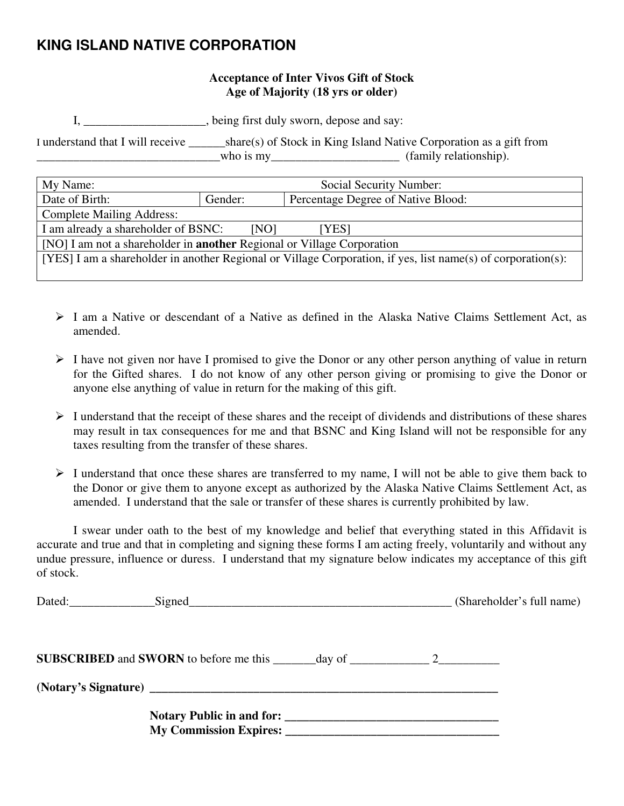## **KING ISLAND NATIVE CORPORATION**

### **Acceptance of Inter Vivos Gift of Stock Age of Majority (18 yrs or older)**

I, \_\_\_\_\_\_\_\_\_\_\_\_\_\_\_\_\_\_\_\_, being first duly sworn, depose and say:

I understand that I will receive \_\_\_\_\_\_share(s) of Stock in King Island Native Corporation as a gift from  $\longrightarrow$  who is my $\longrightarrow$  who is my $\longrightarrow$  (family relationship).

| My Name:                                                                                                     | Social Security Number:                       |  |  |
|--------------------------------------------------------------------------------------------------------------|-----------------------------------------------|--|--|
| Date of Birth:                                                                                               | Percentage Degree of Native Blood:<br>Gender: |  |  |
| <b>Complete Mailing Address:</b>                                                                             |                                               |  |  |
| I am already a shareholder of BSNC:<br>[NO]<br>[YES]                                                         |                                               |  |  |
| [NO] I am not a shareholder in <b>another</b> Regional or Village Corporation                                |                                               |  |  |
| [YES] I am a shareholder in another Regional or Village Corporation, if yes, list name(s) of corporation(s): |                                               |  |  |
|                                                                                                              |                                               |  |  |

- $\geq 1$  am a Native or descendant of a Native as defined in the Alaska Native Claims Settlement Act, as amended.
- $\triangleright$  I have not given nor have I promised to give the Donor or any other person anything of value in return for the Gifted shares. I do not know of any other person giving or promising to give the Donor or anyone else anything of value in return for the making of this gift.
- $\triangleright$  I understand that the receipt of these shares and the receipt of dividends and distributions of these shares may result in tax consequences for me and that BSNC and King Island will not be responsible for any taxes resulting from the transfer of these shares.
- $\triangleright$  I understand that once these shares are transferred to my name, I will not be able to give them back to the Donor or give them to anyone except as authorized by the Alaska Native Claims Settlement Act, as amended. I understand that the sale or transfer of these shares is currently prohibited by law.

 I swear under oath to the best of my knowledge and belief that everything stated in this Affidavit is accurate and true and that in completing and signing these forms I am acting freely, voluntarily and without any undue pressure, influence or duress. I understand that my signature below indicates my acceptance of this gift of stock.

|  | (Shareholder's full name) |
|--|---------------------------|
|  |                           |
|  |                           |
|  |                           |